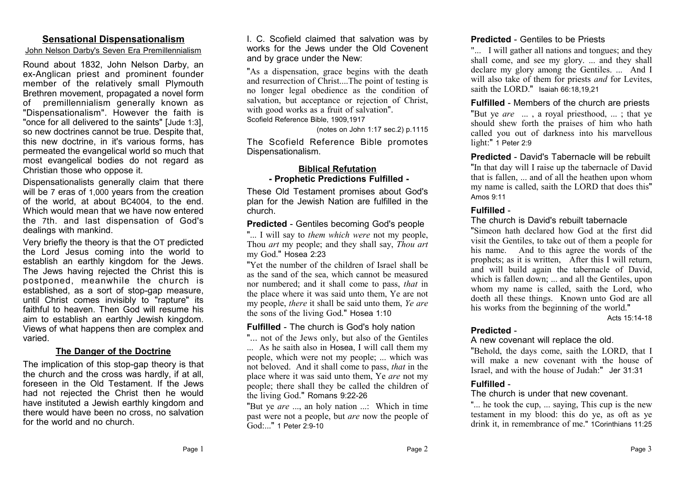## **Sensational Dispensationalism**

#### John Nelson Darby's Seven Era Premillennialism

Round about 1832, John Nelson Darby, an ex-Anglican priest and prominent founder member of the relatively small Plymouth Brethren movement, propagated a novel form of premillennialism generally known as "Dispensationalism". However the faith is "once for all delivered to the saints" [Jude 1:3], so new doctrines cannot be true. Despite that, this new doctrine, in it's various forms, has permeated the evangelical world so much that most evangelical bodies do not regard as Christian those who oppose it.

Dispensationalists generally claim that there will be 7 eras of 1,000 years from the creation of the world, at about BC4004, to the end. Which would mean that we have now entered the 7th. and last dispensation of God's dealings with mankind.

Very briefly the theory is that the OT predicted the Lord Jesus coming into the world to establish an earthly kingdom for the Jews. The Jews having rejected the Christ this is postponed, meanwhile the church is established, as a sort of stop-gap measure, until Christ comes invisibly to "rapture" its faithful to heaven. Then God will resume his aim to establish an earthly Jewish kingdom. Views of what happens then are complex and varied.

## **The Danger of the Doctrine**

The implication of this stop-gap theory is that the church and the cross was hardly, if at all, foreseen in the Old Testament. If the Jews had not rejected the Christ then he would have instituted a Jewish earthly kingdom and there would have been no cross, no salvation for the world and no church.

I. C. Scofield claimed that salvation was by works for the Jews under the Old Covenent and by grace under the New:

"As a dispensation, grace begins with the death and resurrection of Christ....The point of testing is no longer legal obedience as the condition of salvation, but acceptance or rejection of Christ, with good works as a fruit of salvation". Scofield Reference Bible, 1909,1917

(notes on John 1:17 sec.2) p.1115

The Scofield Reference Bible promotes Dispensationalism.

## **Biblical Refutation - Prophetic Predictions Fulfilled -**

These Old Testament promises about God's plan for the Jewish Nation are fulfilled in the church.

## **Predicted** - Gentiles becoming God's people

"... I will say to *them which were* not my people, Thou *art* my people; and they shall say, *Thou art* my God." Hosea 2:23

"Yet the number of the children of Israel shall be as the sand of the sea, which cannot be measured nor numbered; and it shall come to pass, *that* in the place where it was said unto them, Ye are not my people, *there* it shall be said unto them, *Ye are* the sons of the living God." Hosea 1:10

## **Fulfilled** - The church is God's holy nation

"... not of the Jews only, but also of the Gentiles ... As he saith also in Hosea, I will call them my people, which were not my people; ... which was not beloved. And it shall come to pass, *that* in the place where it was said unto them, Ye *are* not my people; there shall they be called the children of the living God." Romans 9:22-26

"But ye *are* ..., an holy nation ...: Which in time past were not a people, but *are* now the people of God:..." 1 Peter 2:9-10

## **Predicted** - Gentiles to be Priests

"... I will gather all nations and tongues; and they shall come, and see my glory. ... and they shall declare my glory among the Gentiles. ... And I will also take of them for priests *and* for Levites, saith the LORD." Isaiah 66:18,19,21

**Fulfilled** - Members of the church are priests "But ye *are* ... , a royal priesthood, ... ; that ye should shew forth the praises of him who hath called you out of darkness into his marvellous light:" 1 Peter 2:9

**Predicted** - David's Tabernacle will be rebuilt "In that day will I raise up the tabernacle of David that is fallen, ... and of all the heathen upon whom my name is called, saith the LORD that does this" Amos 9:11

## **Fulfilled** -

### The church is David's rebuilt tabernacle

"Simeon hath declared how God at the first did visit the Gentiles, to take out of them a people for his name. And to this agree the words of the prophets; as it is written, After this I will return, and will build again the tabernacle of David, which is fallen down; ... and all the Gentiles, upon whom my name is called, saith the Lord, who doeth all these things. Known unto God are all his works from the beginning of the world."

Acts 15:14-18

# **Predicted** -

### A new covenant will replace the old.

"Behold, the days come, saith the LORD, that I will make a new covenant with the house of Israel, and with the house of Judah:" Jer 31:31

## **Fulfilled** -

## The church is under that new covenant.

"... he took the cup, ... saying, This cup is the new testament in my blood: this do ye, as oft as ye drink it, in remembrance of me." 1Corinthians 11:25